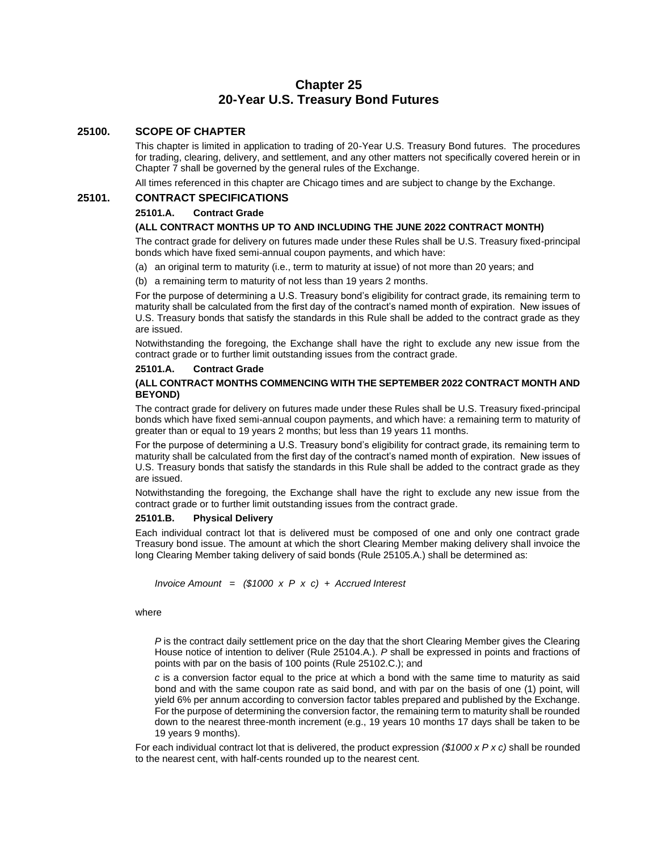# **Chapter 25 20-Year U.S. Treasury Bond Futures**

# **25100. SCOPE OF CHAPTER**

This chapter is limited in application to trading of 20-Year U.S. Treasury Bond futures. The procedures for trading, clearing, delivery, and settlement, and any other matters not specifically covered herein or in Chapter 7 shall be governed by the general rules of the Exchange.

All times referenced in this chapter are Chicago times and are subject to change by the Exchange.

# **25101. CONTRACT SPECIFICATIONS**

## **25101.A. Contract Grade**

### **(ALL CONTRACT MONTHS UP TO AND INCLUDING THE JUNE 2022 CONTRACT MONTH)**

The contract grade for delivery on futures made under these Rules shall be U.S. Treasury fixed-principal bonds which have fixed semi-annual coupon payments, and which have:

- (a) an original term to maturity (i.e., term to maturity at issue) of not more than 20 years; and
- (b) a remaining term to maturity of not less than 19 years 2 months.

For the purpose of determining a U.S. Treasury bond's eligibility for contract grade, its remaining term to maturity shall be calculated from the first day of the contract's named month of expiration. New issues of U.S. Treasury bonds that satisfy the standards in this Rule shall be added to the contract grade as they are issued.

Notwithstanding the foregoing, the Exchange shall have the right to exclude any new issue from the contract grade or to further limit outstanding issues from the contract grade.

#### **25101.A. Contract Grade**

## **(ALL CONTRACT MONTHS COMMENCING WITH THE SEPTEMBER 2022 CONTRACT MONTH AND BEYOND)**

The contract grade for delivery on futures made under these Rules shall be U.S. Treasury fixed-principal bonds which have fixed semi-annual coupon payments, and which have: a remaining term to maturity of greater than or equal to 19 years 2 months; but less than 19 years 11 months.

For the purpose of determining a U.S. Treasury bond's eligibility for contract grade, its remaining term to maturity shall be calculated from the first day of the contract's named month of expiration. New issues of U.S. Treasury bonds that satisfy the standards in this Rule shall be added to the contract grade as they are issued.

Notwithstanding the foregoing, the Exchange shall have the right to exclude any new issue from the contract grade or to further limit outstanding issues from the contract grade.

#### **25101.B. Physical Delivery**

Each individual contract lot that is delivered must be composed of one and only one contract grade Treasury bond issue. The amount at which the short Clearing Member making delivery shall invoice the long Clearing Member taking delivery of said bonds (Rule 25105.A.) shall be determined as:

*Invoice Amount = (\$1000 x P x c) + Accrued Interest* 

#### where

*P* is the contract daily settlement price on the day that the short Clearing Member gives the Clearing House notice of intention to deliver (Rule 25104.A.). *P* shall be expressed in points and fractions of points with par on the basis of 100 points (Rule 25102.C.); and

*c* is a conversion factor equal to the price at which a bond with the same time to maturity as said bond and with the same coupon rate as said bond, and with par on the basis of one (1) point, will yield 6% per annum according to conversion factor tables prepared and published by the Exchange. For the purpose of determining the conversion factor, the remaining term to maturity shall be rounded down to the nearest three-month increment (e.g., 19 years 10 months 17 days shall be taken to be 19 years 9 months).

For each individual contract lot that is delivered, the product expression *(\$1000 x P x c)* shall be rounded to the nearest cent, with half-cents rounded up to the nearest cent.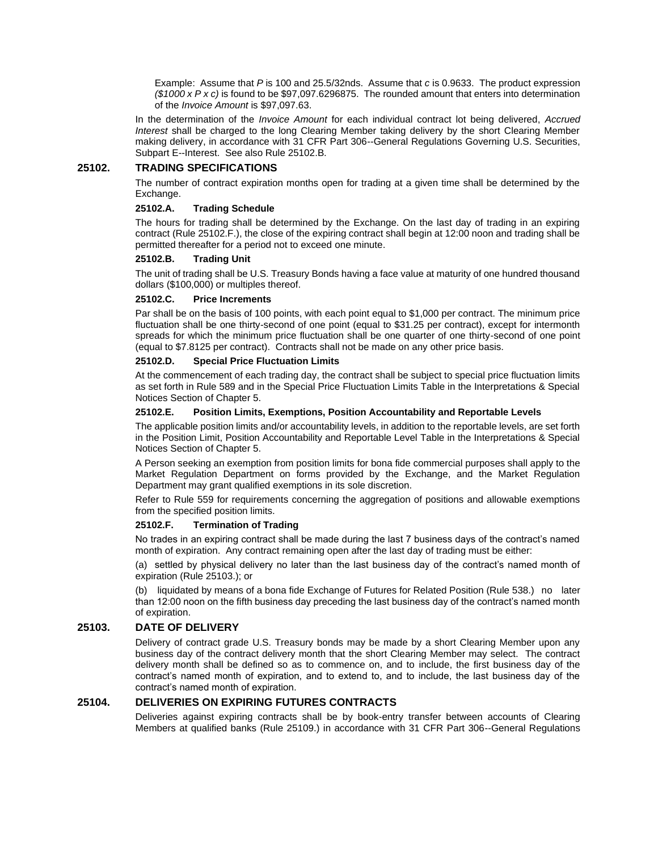Example: Assume that *P* is 100 and 25.5/32nds. Assume that *c* is 0.9633. The product expression *(\$1000 x P x c)* is found to be \$97,097.6296875. The rounded amount that enters into determination of the *Invoice Amount* is \$97,097.63.

In the determination of the *Invoice Amount* for each individual contract lot being delivered, *Accrued Interest* shall be charged to the long Clearing Member taking delivery by the short Clearing Member making delivery, in accordance with 31 CFR Part 306--General Regulations Governing U.S. Securities, Subpart E--Interest. See also Rule 25102.B.

# **25102. TRADING SPECIFICATIONS**

The number of contract expiration months open for trading at a given time shall be determined by the Exchange.

## **25102.A. Trading Schedule**

The hours for trading shall be determined by the Exchange. On the last day of trading in an expiring contract (Rule 25102.F.), the close of the expiring contract shall begin at 12:00 noon and trading shall be permitted thereafter for a period not to exceed one minute.

### **25102.B. Trading Unit**

The unit of trading shall be U.S. Treasury Bonds having a face value at maturity of one hundred thousand dollars (\$100,000) or multiples thereof.

### **25102.C. Price Increments**

Par shall be on the basis of 100 points, with each point equal to \$1,000 per contract. The minimum price fluctuation shall be one thirty-second of one point (equal to \$31.25 per contract), except for intermonth spreads for which the minimum price fluctuation shall be one quarter of one thirty-second of one point (equal to \$7.8125 per contract). Contracts shall not be made on any other price basis.

## **25102.D. Special Price Fluctuation Limits**

At the commencement of each trading day, the contract shall be subject to special price fluctuation limits as set forth in Rule 589 and in the Special Price Fluctuation Limits Table in the Interpretations & Special Notices Section of Chapter 5.

### **25102.E. Position Limits, Exemptions, Position Accountability and Reportable Levels**

The applicable position limits and/or accountability levels, in addition to the reportable levels, are set forth in the Position Limit, Position Accountability and Reportable Level Table in the Interpretations & Special Notices Section of Chapter 5.

A Person seeking an exemption from position limits for bona fide commercial purposes shall apply to the Market Regulation Department on forms provided by the Exchange, and the Market Regulation Department may grant qualified exemptions in its sole discretion.

Refer to Rule 559 for requirements concerning the aggregation of positions and allowable exemptions from the specified position limits.

#### **25102.F. Termination of Trading**

No trades in an expiring contract shall be made during the last 7 business days of the contract's named month of expiration. Any contract remaining open after the last day of trading must be either:

(a) settled by physical delivery no later than the last business day of the contract's named month of expiration (Rule 25103.); or

(b) liquidated by means of a bona fide Exchange of Futures for Related Position (Rule 538.) no later than 12:00 noon on the fifth business day preceding the last business day of the contract's named month of expiration.

## **25103. DATE OF DELIVERY**

Delivery of contract grade U.S. Treasury bonds may be made by a short Clearing Member upon any business day of the contract delivery month that the short Clearing Member may select. The contract delivery month shall be defined so as to commence on, and to include, the first business day of the contract's named month of expiration, and to extend to, and to include, the last business day of the contract's named month of expiration.

## **25104. DELIVERIES ON EXPIRING FUTURES CONTRACTS**

Deliveries against expiring contracts shall be by book-entry transfer between accounts of Clearing Members at qualified banks (Rule 25109.) in accordance with 31 CFR Part 306--General Regulations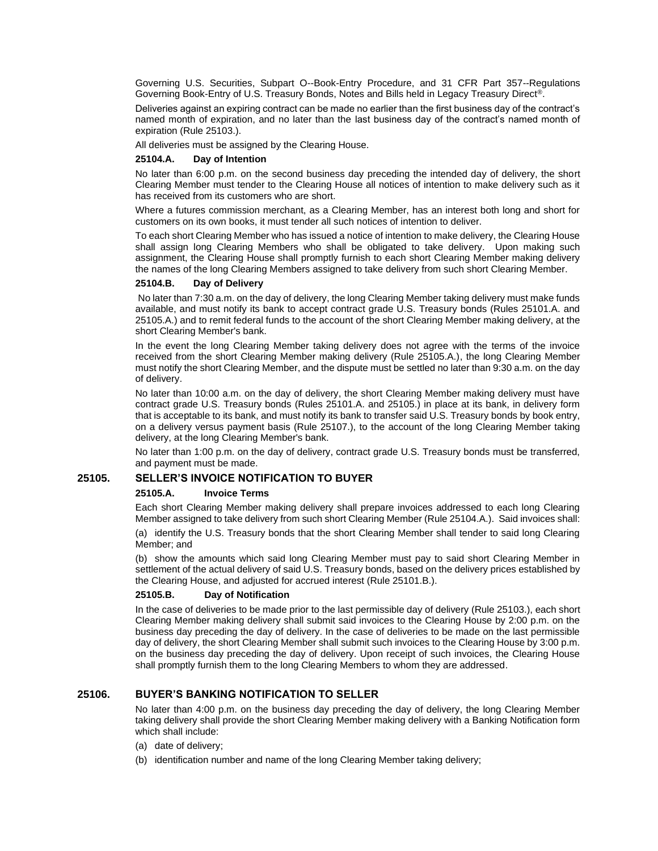Governing U.S. Securities, Subpart O--Book-Entry Procedure, and 31 CFR Part 357--Regulations Governing Book-Entry of U.S. Treasury Bonds, Notes and Bills held in Legacy Treasury Direct®.

Deliveries against an expiring contract can be made no earlier than the first business day of the contract's named month of expiration, and no later than the last business day of the contract's named month of expiration (Rule 25103.).

All deliveries must be assigned by the Clearing House.

## **25104.A. Day of Intention**

No later than 6:00 p.m. on the second business day preceding the intended day of delivery, the short Clearing Member must tender to the Clearing House all notices of intention to make delivery such as it has received from its customers who are short.

Where a futures commission merchant, as a Clearing Member, has an interest both long and short for customers on its own books, it must tender all such notices of intention to deliver.

To each short Clearing Member who has issued a notice of intention to make delivery, the Clearing House shall assign long Clearing Members who shall be obligated to take delivery. Upon making such assignment, the Clearing House shall promptly furnish to each short Clearing Member making delivery the names of the long Clearing Members assigned to take delivery from such short Clearing Member.

### **25104.B. Day of Delivery**

No later than 7:30 a.m. on the day of delivery, the long Clearing Member taking delivery must make funds available, and must notify its bank to accept contract grade U.S. Treasury bonds (Rules 25101.A. and 25105.A.) and to remit federal funds to the account of the short Clearing Member making delivery, at the short Clearing Member's bank.

In the event the long Clearing Member taking delivery does not agree with the terms of the invoice received from the short Clearing Member making delivery (Rule 25105.A.), the long Clearing Member must notify the short Clearing Member, and the dispute must be settled no later than 9:30 a.m. on the day of delivery.

No later than 10:00 a.m. on the day of delivery, the short Clearing Member making delivery must have contract grade U.S. Treasury bonds (Rules 25101.A. and 25105.) in place at its bank, in delivery form that is acceptable to its bank, and must notify its bank to transfer said U.S. Treasury bonds by book entry, on a delivery versus payment basis (Rule 25107.), to the account of the long Clearing Member taking delivery, at the long Clearing Member's bank.

No later than 1:00 p.m. on the day of delivery, contract grade U.S. Treasury bonds must be transferred, and payment must be made.

# **25105. SELLER'S INVOICE NOTIFICATION TO BUYER**

#### **25105.A. Invoice Terms**

Each short Clearing Member making delivery shall prepare invoices addressed to each long Clearing Member assigned to take delivery from such short Clearing Member (Rule 25104.A.). Said invoices shall:

(a) identify the U.S. Treasury bonds that the short Clearing Member shall tender to said long Clearing Member; and

(b) show the amounts which said long Clearing Member must pay to said short Clearing Member in settlement of the actual delivery of said U.S. Treasury bonds, based on the delivery prices established by the Clearing House, and adjusted for accrued interest (Rule 25101.B.).

#### **25105.B. Day of Notification**

In the case of deliveries to be made prior to the last permissible day of delivery (Rule 25103.), each short Clearing Member making delivery shall submit said invoices to the Clearing House by 2:00 p.m. on the business day preceding the day of delivery. In the case of deliveries to be made on the last permissible day of delivery, the short Clearing Member shall submit such invoices to the Clearing House by 3:00 p.m. on the business day preceding the day of delivery. Upon receipt of such invoices, the Clearing House shall promptly furnish them to the long Clearing Members to whom they are addressed.

## **25106. BUYER'S BANKING NOTIFICATION TO SELLER**

No later than 4:00 p.m. on the business day preceding the day of delivery, the long Clearing Member taking delivery shall provide the short Clearing Member making delivery with a Banking Notification form which shall include:

- (a) date of delivery;
- (b) identification number and name of the long Clearing Member taking delivery;